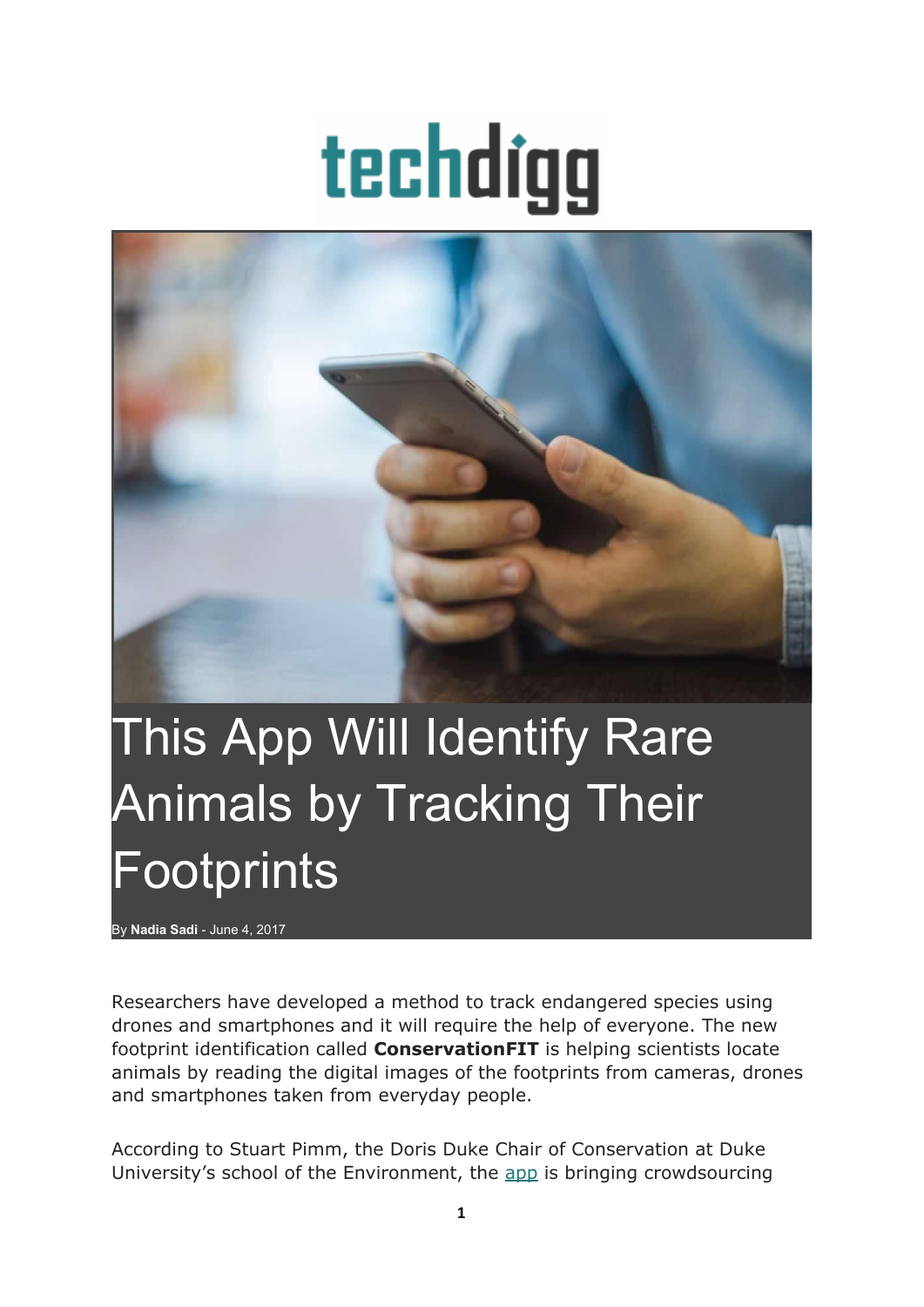## techdigg



## This App Will Identify Rare Animals by Tracking Their **Footprints**

By **[Nadia](http://techdigg.com/author/nadia-sadi/) Sadi** - June 4, 2017

Researchers have developed a method to track endangered species using drones and smartphones and it will require the help of everyone. The new footprint identification called **ConservationFIT** is helping scientists locate animals by reading the digital images of the footprints from cameras, drones and smartphones taken from everyday people.

According to Stuart Pimm, the Doris Duke Chair of Conservation at Duke University's school of the Environment, the [app](http://techdigg.com/2017/01/22/5-apps-that-will-help-you-find-your-lost-phone/) is bringing crowdsourcing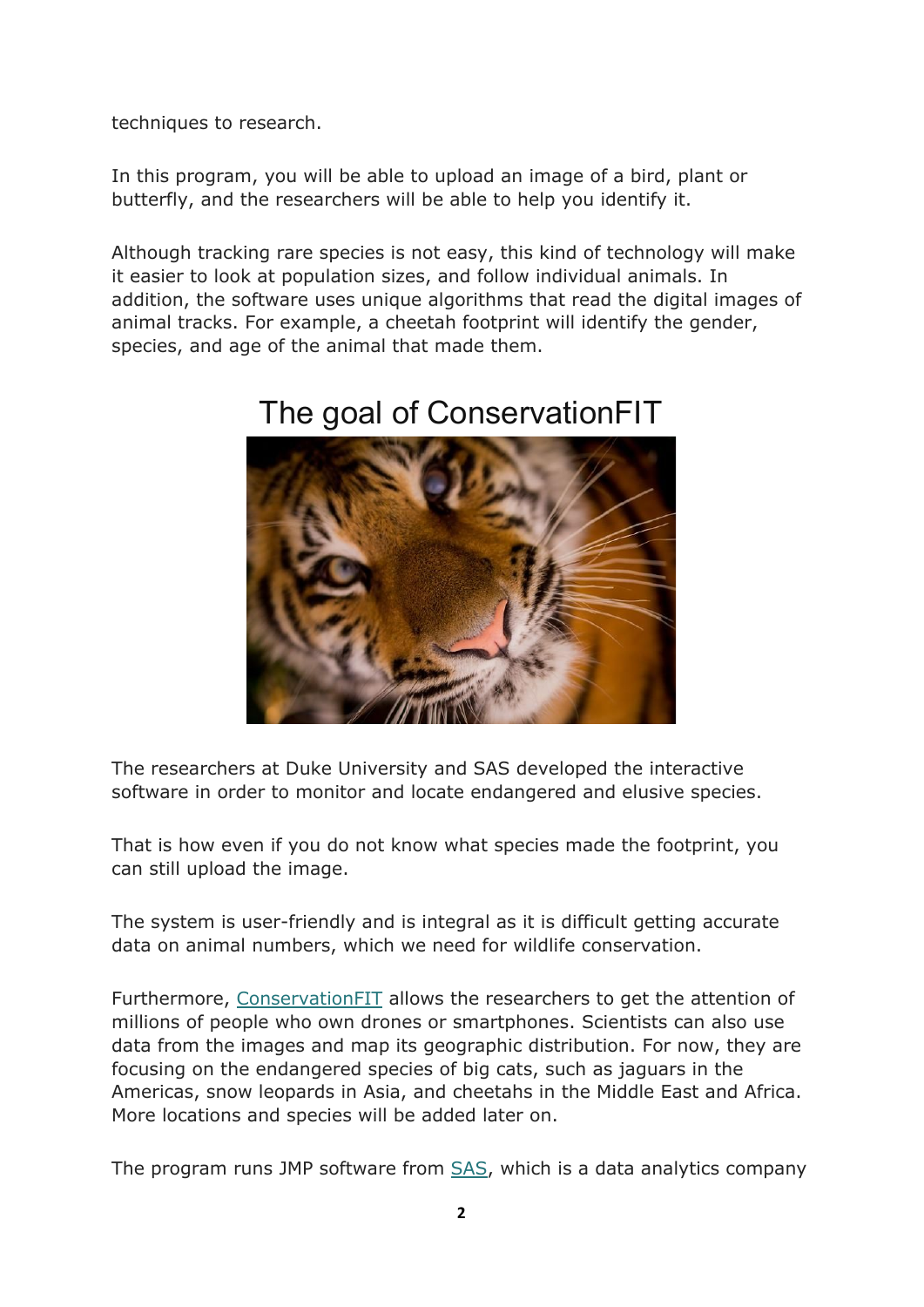techniques to research.

In this program, you will be able to upload an image of a bird, plant or butterfly, and the researchers will be able to help you identify it.

Although tracking rare species is not easy, this kind of technology will make it easier to look at population sizes, and follow individual animals. In addition, the software uses unique algorithms that read the digital images of animal tracks. For example, a cheetah footprint will identify the gender, species, and age of the animal that made them.

![](_page_1_Picture_3.jpeg)

## The goal of ConservationFIT

The researchers at Duke University and SAS developed the interactive software in order to monitor and locate endangered and elusive species.

That is how even if you do not know what species made the footprint, you can still upload the image.

The system is user-friendly and is integral as it is difficult getting accurate data on animal numbers, which we need for wildlife conservation.

Furthermore, ConservationFIT allows the researchers to get the attention of millions of people who own drones or smartphones. Scientists can also use data from the images and map its geographic distribution. For now, they are focusing on the endangered species of big cats, such as jaguars in the Americas, snow leopards in Asia, and cheetahs in the Middle East and Africa. More locations and species will be added later on.

The program runs JMP software from [SAS,](https://www.sas.com/en_ca/home.html) which is a data analytics company